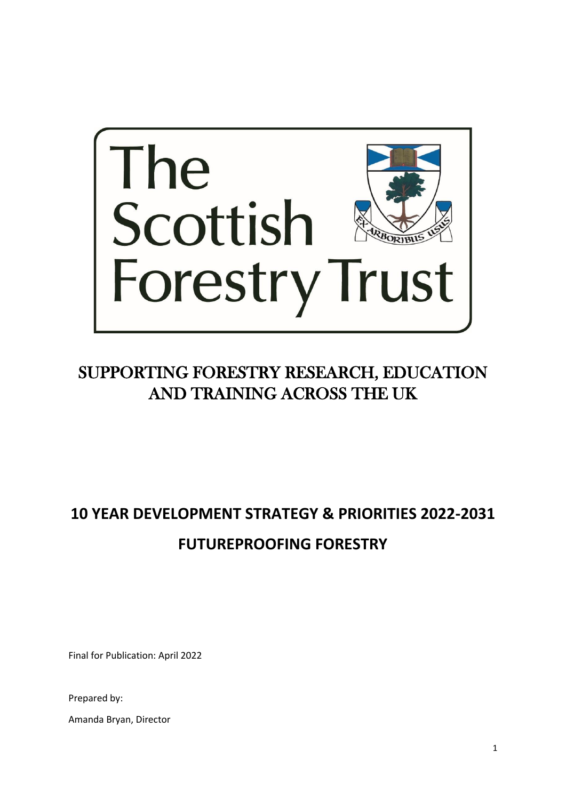

# SUPPORTING FORESTRY RESEARCH, EDUCATION AND TRAINING ACROSS THE UK

# **10 YEAR DEVELOPMENT STRATEGY & PRIORITIES 2022-2031 FUTUREPROOFING FORESTRY**

Final for Publication: April 2022

Prepared by:

Amanda Bryan, Director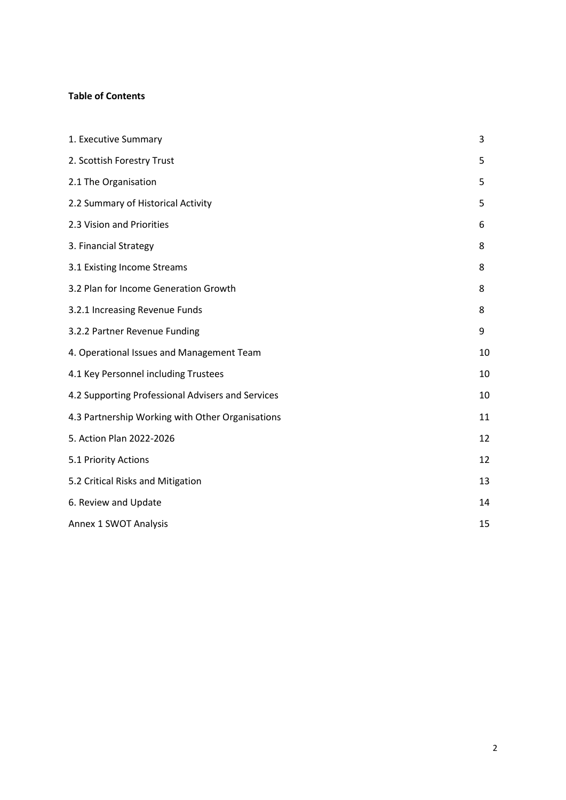# **Table of Contents**

| 1. Executive Summary                              | 3  |
|---------------------------------------------------|----|
| 2. Scottish Forestry Trust                        | 5  |
| 2.1 The Organisation                              | 5  |
| 2.2 Summary of Historical Activity                | 5  |
| 2.3 Vision and Priorities                         | 6  |
| 3. Financial Strategy                             | 8  |
| 3.1 Existing Income Streams                       | 8  |
| 3.2 Plan for Income Generation Growth             | 8  |
| 3.2.1 Increasing Revenue Funds                    | 8  |
| 3.2.2 Partner Revenue Funding                     | 9  |
| 4. Operational Issues and Management Team         | 10 |
| 4.1 Key Personnel including Trustees              | 10 |
| 4.2 Supporting Professional Advisers and Services | 10 |
| 4.3 Partnership Working with Other Organisations  | 11 |
| 5. Action Plan 2022-2026                          | 12 |
| 5.1 Priority Actions                              | 12 |
| 5.2 Critical Risks and Mitigation                 | 13 |
| 6. Review and Update                              | 14 |
| Annex 1 SWOT Analysis                             | 15 |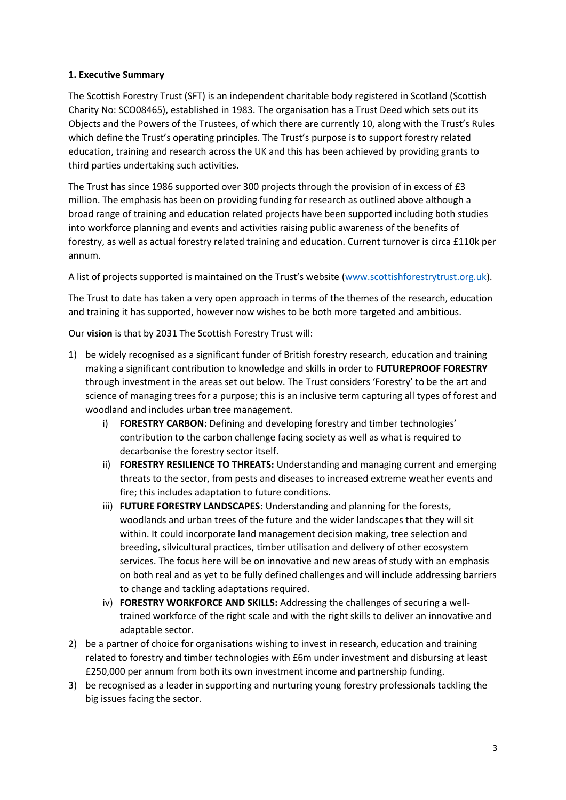#### **1. Executive Summary**

The Scottish Forestry Trust (SFT) is an independent charitable body registered in Scotland (Scottish Charity No: SCO08465), established in 1983. The organisation has a Trust Deed which sets out its Objects and the Powers of the Trustees, of which there are currently 10, along with the Trust's Rules which define the Trust's operating principles. The Trust's purpose is to support forestry related education, training and research across the UK and this has been achieved by providing grants to third parties undertaking such activities.

The Trust has since 1986 supported over 300 projects through the provision of in excess of £3 million. The emphasis has been on providing funding for research as outlined above although a broad range of training and education related projects have been supported including both studies into workforce planning and events and activities raising public awareness of the benefits of forestry, as well as actual forestry related training and education. Current turnover is circa £110k per annum.

A list of projects supported is maintained on the Trust's website ([www.scottishforestrytrust.org.uk\)](http://www.scottishforestrytrust.org.uk/).

The Trust to date has taken a very open approach in terms of the themes of the research, education and training it has supported, however now wishes to be both more targeted and ambitious.

Our **vision** is that by 2031 The Scottish Forestry Trust will:

- 1) be widely recognised as a significant funder of British forestry research, education and training making a significant contribution to knowledge and skills in order to **FUTUREPROOF FORESTRY** through investment in the areas set out below. The Trust considers 'Forestry' to be the art and science of managing trees for a purpose; this is an inclusive term capturing all types of forest and woodland and includes urban tree management.
	- i) **FORESTRY CARBON:** Defining and developing forestry and timber technologies' contribution to the carbon challenge facing society as well as what is required to decarbonise the forestry sector itself.
	- ii) **FORESTRY RESILIENCE TO THREATS:** Understanding and managing current and emerging threats to the sector, from pests and diseases to increased extreme weather events and fire; this includes adaptation to future conditions.
	- iii) **FUTURE FORESTRY LANDSCAPES:** Understanding and planning for the forests, woodlands and urban trees of the future and the wider landscapes that they will sit within. It could incorporate land management decision making, tree selection and breeding, silvicultural practices, timber utilisation and delivery of other ecosystem services. The focus here will be on innovative and new areas of study with an emphasis on both real and as yet to be fully defined challenges and will include addressing barriers to change and tackling adaptations required.
	- iv) **FORESTRY WORKFORCE AND SKILLS:** Addressing the challenges of securing a welltrained workforce of the right scale and with the right skills to deliver an innovative and adaptable sector.
- 2) be a partner of choice for organisations wishing to invest in research, education and training related to forestry and timber technologies with £6m under investment and disbursing at least £250,000 per annum from both its own investment income and partnership funding.
- 3) be recognised as a leader in supporting and nurturing young forestry professionals tackling the big issues facing the sector.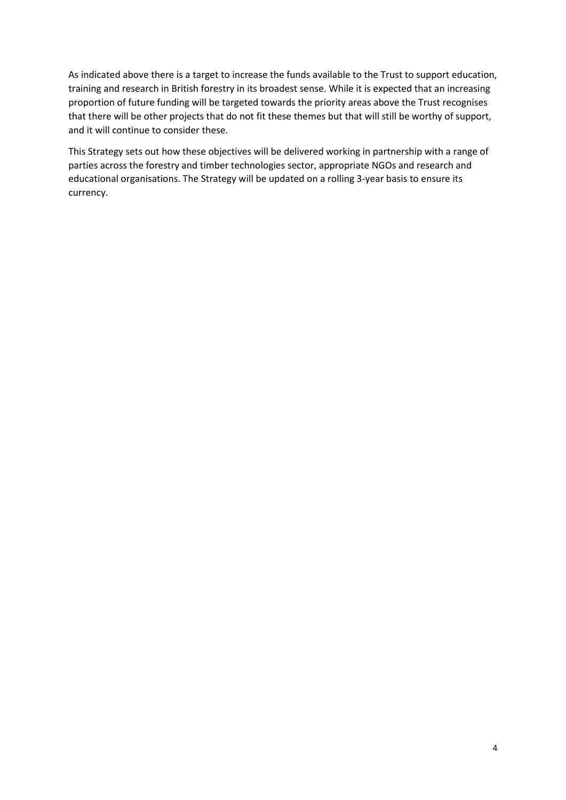As indicated above there is a target to increase the funds available to the Trust to support education, training and research in British forestry in its broadest sense. While it is expected that an increasing proportion of future funding will be targeted towards the priority areas above the Trust recognises that there will be other projects that do not fit these themes but that will still be worthy of support, and it will continue to consider these.

This Strategy sets out how these objectives will be delivered working in partnership with a range of parties across the forestry and timber technologies sector, appropriate NGOs and research and educational organisations. The Strategy will be updated on a rolling 3-year basis to ensure its currency.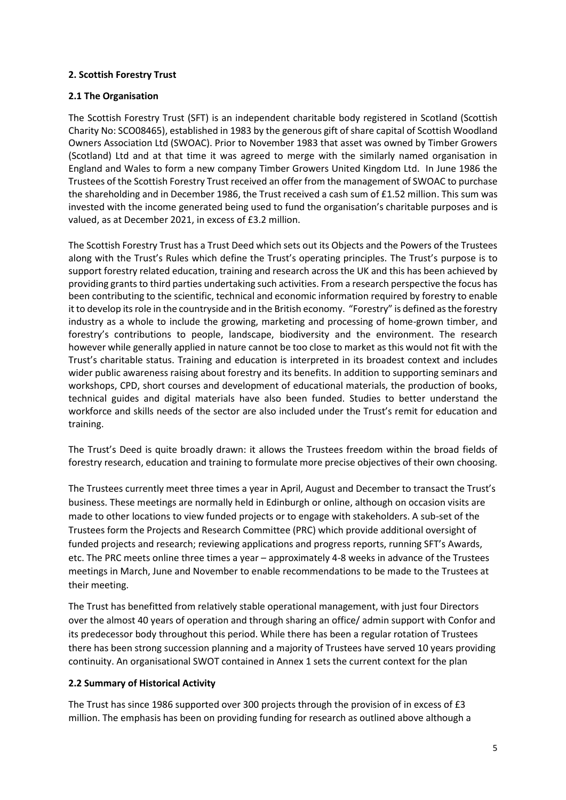#### **2. Scottish Forestry Trust**

#### **2.1 The Organisation**

The Scottish Forestry Trust (SFT) is an independent charitable body registered in Scotland (Scottish Charity No: SCO08465), established in 1983 by the generous gift of share capital of Scottish Woodland Owners Association Ltd (SWOAC). Prior to November 1983 that asset was owned by Timber Growers (Scotland) Ltd and at that time it was agreed to merge with the similarly named organisation in England and Wales to form a new company Timber Growers United Kingdom Ltd. In June 1986 the Trustees of the Scottish Forestry Trust received an offer from the management of SWOAC to purchase the shareholding and in December 1986, the Trust received a cash sum of £1.52 million. This sum was invested with the income generated being used to fund the organisation's charitable purposes and is valued, as at December 2021, in excess of £3.2 million.

The Scottish Forestry Trust has a Trust Deed which sets out its Objects and the Powers of the Trustees along with the Trust's Rules which define the Trust's operating principles. The Trust's purpose is to support forestry related education, training and research across the UK and this has been achieved by providing grants to third parties undertaking such activities. From a research perspective the focus has been contributing to the scientific, technical and economic information required by forestry to enable it to develop its role in the countryside and in the British economy. "Forestry" is defined as the forestry industry as a whole to include the growing, marketing and processing of home-grown timber, and forestry's contributions to people, landscape, biodiversity and the environment. The research however while generally applied in nature cannot be too close to market as this would not fit with the Trust's charitable status. Training and education is interpreted in its broadest context and includes wider public awareness raising about forestry and its benefits. In addition to supporting seminars and workshops, CPD, short courses and development of educational materials, the production of books, technical guides and digital materials have also been funded. Studies to better understand the workforce and skills needs of the sector are also included under the Trust's remit for education and training.

The Trust's Deed is quite broadly drawn: it allows the Trustees freedom within the broad fields of forestry research, education and training to formulate more precise objectives of their own choosing.

The Trustees currently meet three times a year in April, August and December to transact the Trust's business. These meetings are normally held in Edinburgh or online, although on occasion visits are made to other locations to view funded projects or to engage with stakeholders. A sub-set of the Trustees form the Projects and Research Committee (PRC) which provide additional oversight of funded projects and research; reviewing applications and progress reports, running SFT's Awards, etc. The PRC meets online three times a year – approximately 4-8 weeks in advance of the Trustees meetings in March, June and November to enable recommendations to be made to the Trustees at their meeting.

The Trust has benefitted from relatively stable operational management, with just four Directors over the almost 40 years of operation and through sharing an office/ admin support with Confor and its predecessor body throughout this period. While there has been a regular rotation of Trustees there has been strong succession planning and a majority of Trustees have served 10 years providing continuity. An organisational SWOT contained in Annex 1 sets the current context for the plan

#### **2.2 Summary of Historical Activity**

The Trust has since 1986 supported over 300 projects through the provision of in excess of £3 million. The emphasis has been on providing funding for research as outlined above although a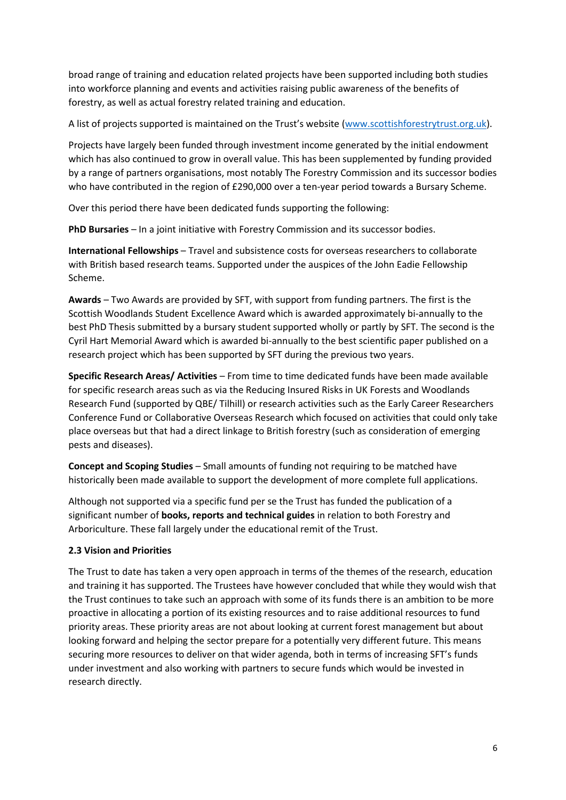broad range of training and education related projects have been supported including both studies into workforce planning and events and activities raising public awareness of the benefits of forestry, as well as actual forestry related training and education.

A list of projects supported is maintained on the Trust's website ([www.scottishforestrytrust.org.uk\)](http://www.scottishforestrytrust.org.uk/).

Projects have largely been funded through investment income generated by the initial endowment which has also continued to grow in overall value. This has been supplemented by funding provided by a range of partners organisations, most notably The Forestry Commission and its successor bodies who have contributed in the region of £290,000 over a ten-year period towards a Bursary Scheme.

Over this period there have been dedicated funds supporting the following:

**PhD Bursaries** – In a joint initiative with Forestry Commission and its successor bodies.

**International Fellowships** – Travel and subsistence costs for overseas researchers to collaborate with British based research teams. Supported under the auspices of the John Eadie Fellowship Scheme.

**Awards** – Two Awards are provided by SFT, with support from funding partners. The first is the Scottish Woodlands Student Excellence Award which is awarded approximately bi-annually to the best PhD Thesis submitted by a bursary student supported wholly or partly by SFT. The second is the Cyril Hart Memorial Award which is awarded bi-annually to the best scientific paper published on a research project which has been supported by SFT during the previous two years.

**Specific Research Areas/ Activities** – From time to time dedicated funds have been made available for specific research areas such as via the Reducing Insured Risks in UK Forests and Woodlands Research Fund (supported by QBE/ Tilhill) or research activities such as the Early Career Researchers Conference Fund or Collaborative Overseas Research which focused on activities that could only take place overseas but that had a direct linkage to British forestry (such as consideration of emerging pests and diseases).

**Concept and Scoping Studies** – Small amounts of funding not requiring to be matched have historically been made available to support the development of more complete full applications.

Although not supported via a specific fund per se the Trust has funded the publication of a significant number of **books, reports and technical guides** in relation to both Forestry and Arboriculture. These fall largely under the educational remit of the Trust.

### **2.3 Vision and Priorities**

The Trust to date has taken a very open approach in terms of the themes of the research, education and training it has supported. The Trustees have however concluded that while they would wish that the Trust continues to take such an approach with some of its funds there is an ambition to be more proactive in allocating a portion of its existing resources and to raise additional resources to fund priority areas. These priority areas are not about looking at current forest management but about looking forward and helping the sector prepare for a potentially very different future. This means securing more resources to deliver on that wider agenda, both in terms of increasing SFT's funds under investment and also working with partners to secure funds which would be invested in research directly.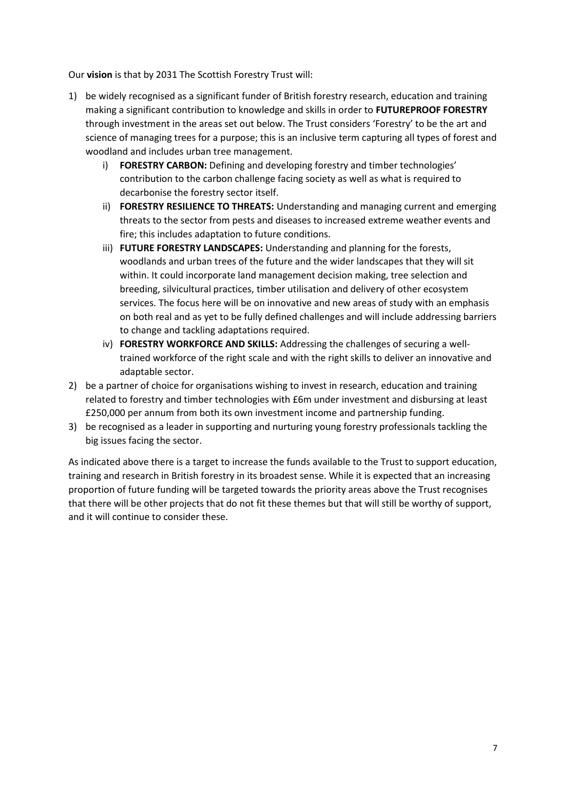Our **vision** is that by 2031 The Scottish Forestry Trust will:

- 1) be widely recognised as a significant funder of British forestry research, education and training making a significant contribution to knowledge and skills in order to **FUTUREPROOF FORESTRY** through investment in the areas set out below. The Trust considers 'Forestry' to be the art and science of managing trees for a purpose; this is an inclusive term capturing all types of forest and woodland and includes urban tree management.
	- i) **FORESTRY CARBON:** Defining and developing forestry and timber technologies' contribution to the carbon challenge facing society as well as what is required to decarbonise the forestry sector itself.
	- ii) **FORESTRY RESILIENCE TO THREATS:** Understanding and managing current and emerging threats to the sector from pests and diseases to increased extreme weather events and fire; this includes adaptation to future conditions.
	- iii) **FUTURE FORESTRY LANDSCAPES:** Understanding and planning for the forests, woodlands and urban trees of the future and the wider landscapes that they will sit within. It could incorporate land management decision making, tree selection and breeding, silvicultural practices, timber utilisation and delivery of other ecosystem services. The focus here will be on innovative and new areas of study with an emphasis on both real and as yet to be fully defined challenges and will include addressing barriers to change and tackling adaptations required.
	- iv) **FORESTRY WORKFORCE AND SKILLS:** Addressing the challenges of securing a welltrained workforce of the right scale and with the right skills to deliver an innovative and adaptable sector.
- 2) be a partner of choice for organisations wishing to invest in research, education and training related to forestry and timber technologies with £6m under investment and disbursing at least £250,000 per annum from both its own investment income and partnership funding.
- 3) be recognised as a leader in supporting and nurturing young forestry professionals tackling the big issues facing the sector.

As indicated above there is a target to increase the funds available to the Trust to support education, training and research in British forestry in its broadest sense. While it is expected that an increasing proportion of future funding will be targeted towards the priority areas above the Trust recognises that there will be other projects that do not fit these themes but that will still be worthy of support, and it will continue to consider these.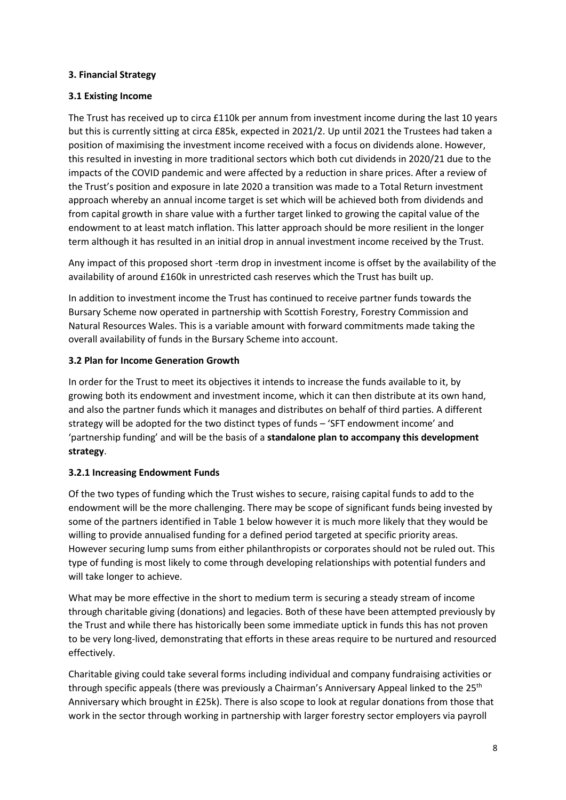#### **3. Financial Strategy**

#### **3.1 Existing Income**

The Trust has received up to circa £110k per annum from investment income during the last 10 years but this is currently sitting at circa £85k, expected in 2021/2. Up until 2021 the Trustees had taken a position of maximising the investment income received with a focus on dividends alone. However, this resulted in investing in more traditional sectors which both cut dividends in 2020/21 due to the impacts of the COVID pandemic and were affected by a reduction in share prices. After a review of the Trust's position and exposure in late 2020 a transition was made to a Total Return investment approach whereby an annual income target is set which will be achieved both from dividends and from capital growth in share value with a further target linked to growing the capital value of the endowment to at least match inflation. This latter approach should be more resilient in the longer term although it has resulted in an initial drop in annual investment income received by the Trust.

Any impact of this proposed short -term drop in investment income is offset by the availability of the availability of around £160k in unrestricted cash reserves which the Trust has built up.

In addition to investment income the Trust has continued to receive partner funds towards the Bursary Scheme now operated in partnership with Scottish Forestry, Forestry Commission and Natural Resources Wales. This is a variable amount with forward commitments made taking the overall availability of funds in the Bursary Scheme into account.

#### **3.2 Plan for Income Generation Growth**

In order for the Trust to meet its objectives it intends to increase the funds available to it, by growing both its endowment and investment income, which it can then distribute at its own hand, and also the partner funds which it manages and distributes on behalf of third parties. A different strategy will be adopted for the two distinct types of funds – 'SFT endowment income' and 'partnership funding' and will be the basis of a **standalone plan to accompany this development strategy**.

#### **3.2.1 Increasing Endowment Funds**

Of the two types of funding which the Trust wishes to secure, raising capital funds to add to the endowment will be the more challenging. There may be scope of significant funds being invested by some of the partners identified in Table 1 below however it is much more likely that they would be willing to provide annualised funding for a defined period targeted at specific priority areas. However securing lump sums from either philanthropists or corporates should not be ruled out. This type of funding is most likely to come through developing relationships with potential funders and will take longer to achieve.

What may be more effective in the short to medium term is securing a steady stream of income through charitable giving (donations) and legacies. Both of these have been attempted previously by the Trust and while there has historically been some immediate uptick in funds this has not proven to be very long-lived, demonstrating that efforts in these areas require to be nurtured and resourced effectively.

Charitable giving could take several forms including individual and company fundraising activities or through specific appeals (there was previously a Chairman's Anniversary Appeal linked to the 25<sup>th</sup> Anniversary which brought in £25k). There is also scope to look at regular donations from those that work in the sector through working in partnership with larger forestry sector employers via payroll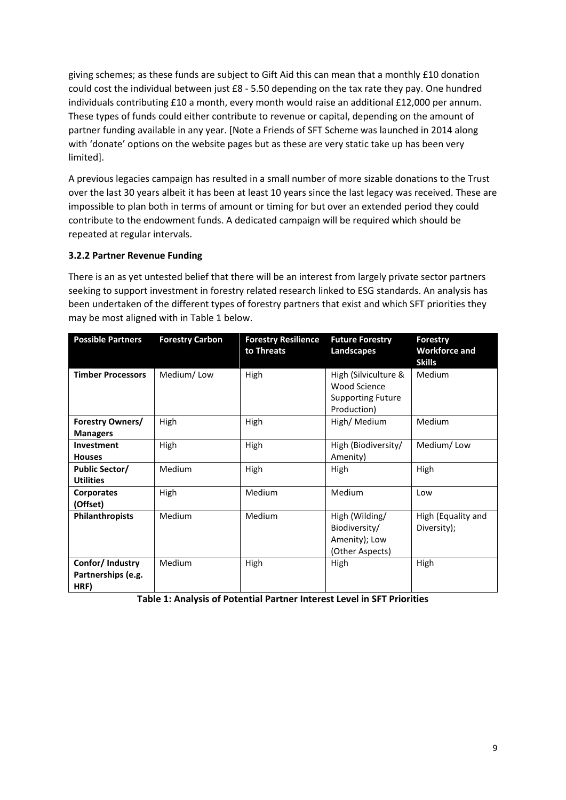giving schemes; as these funds are subject to Gift Aid this can mean that a monthly £10 donation could cost the individual between just £8 - 5.50 depending on the tax rate they pay. One hundred individuals contributing £10 a month, every month would raise an additional £12,000 per annum. These types of funds could either contribute to revenue or capital, depending on the amount of partner funding available in any year. [Note a Friends of SFT Scheme was launched in 2014 along with 'donate' options on the website pages but as these are very static take up has been very limited].

A previous legacies campaign has resulted in a small number of more sizable donations to the Trust over the last 30 years albeit it has been at least 10 years since the last legacy was received. These are impossible to plan both in terms of amount or timing for but over an extended period they could contribute to the endowment funds. A dedicated campaign will be required which should be repeated at regular intervals.

#### **3.2.2 Partner Revenue Funding**

There is an as yet untested belief that there will be an interest from largely private sector partners seeking to support investment in forestry related research linked to ESG standards. An analysis has been undertaken of the different types of forestry partners that exist and which SFT priorities they may be most aligned with in Table 1 below.

| <b>Possible Partners</b>                      | <b>Forestry Carbon</b> | <b>Forestry Resilience</b><br>to Threats | <b>Future Forestry</b><br>Landscapes                                                   | Forestry<br><b>Workforce and</b><br><b>Skills</b> |
|-----------------------------------------------|------------------------|------------------------------------------|----------------------------------------------------------------------------------------|---------------------------------------------------|
| <b>Timber Processors</b>                      | Medium/Low             | High                                     | High (Silviculture &<br><b>Wood Science</b><br><b>Supporting Future</b><br>Production) | Medium                                            |
| <b>Forestry Owners/</b><br><b>Managers</b>    | High                   | High                                     | High/ Medium                                                                           | Medium                                            |
| <b>Investment</b><br><b>Houses</b>            | High                   | High                                     | High (Biodiversity/<br>Amenity)                                                        | Medium/Low                                        |
| <b>Public Sector/</b><br><b>Utilities</b>     | <b>Medium</b>          | High                                     | High                                                                                   | High                                              |
| <b>Corporates</b><br>(Offset)                 | High                   | Medium                                   | Medium                                                                                 | Low                                               |
| <b>Philanthropists</b>                        | Medium                 | Medium                                   | High (Wilding/<br>Biodiversity/<br>Amenity); Low<br>(Other Aspects)                    | High (Equality and<br>Diversity);                 |
| Confor/Industry<br>Partnerships (e.g.<br>HRF) | Medium                 | High                                     | High                                                                                   | High                                              |

**Table 1: Analysis of Potential Partner Interest Level in SFT Priorities**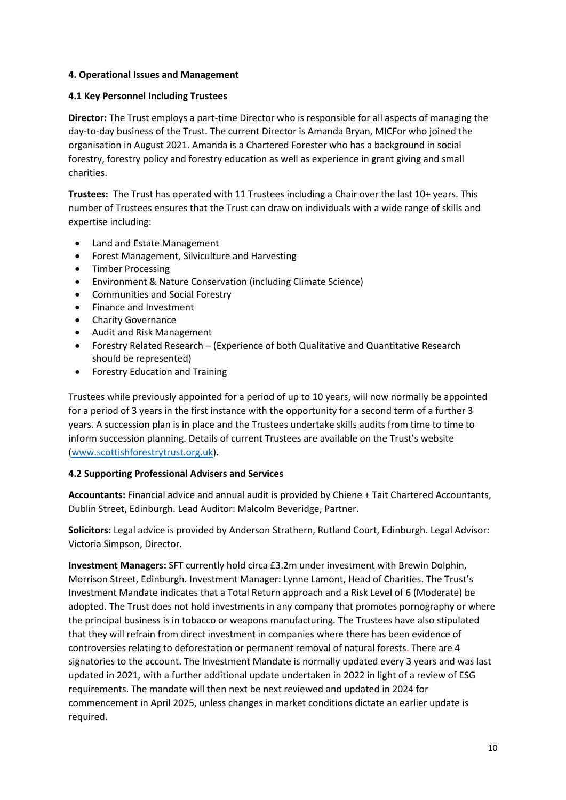#### **4. Operational Issues and Management**

#### **4.1 Key Personnel Including Trustees**

**Director:** The Trust employs a part-time Director who is responsible for all aspects of managing the day-to-day business of the Trust. The current Director is Amanda Bryan, MICFor who joined the organisation in August 2021. Amanda is a Chartered Forester who has a background in social forestry, forestry policy and forestry education as well as experience in grant giving and small charities.

**Trustees:** The Trust has operated with 11 Trustees including a Chair over the last 10+ years. This number of Trustees ensures that the Trust can draw on individuals with a wide range of skills and expertise including:

- Land and Estate Management
- Forest Management, Silviculture and Harvesting
- Timber Processing
- Environment & Nature Conservation (including Climate Science)
- Communities and Social Forestry
- Finance and Investment
- Charity Governance
- Audit and Risk Management
- Forestry Related Research (Experience of both Qualitative and Quantitative Research should be represented)
- Forestry Education and Training

Trustees while previously appointed for a period of up to 10 years, will now normally be appointed for a period of 3 years in the first instance with the opportunity for a second term of a further 3 years. A succession plan is in place and the Trustees undertake skills audits from time to time to inform succession planning. Details of current Trustees are available on the Trust's website [\(www.scottishforestrytrust.org.uk\)](http://www.scottishforestrytrust.org.uk/).

#### **4.2 Supporting Professional Advisers and Services**

**Accountants:** Financial advice and annual audit is provided by Chiene + Tait Chartered Accountants, Dublin Street, Edinburgh. Lead Auditor: Malcolm Beveridge, Partner.

**Solicitors:** Legal advice is provided by Anderson Strathern, Rutland Court, Edinburgh. Legal Advisor: Victoria Simpson, Director.

**Investment Managers:** SFT currently hold circa £3.2m under investment with Brewin Dolphin, Morrison Street, Edinburgh. Investment Manager: Lynne Lamont, Head of Charities. The Trust's Investment Mandate indicates that a Total Return approach and a Risk Level of 6 (Moderate) be adopted. The Trust does not hold investments in any company that promotes pornography or where the principal business is in tobacco or weapons manufacturing. The Trustees have also stipulated that they will refrain from direct investment in companies where there has been evidence of controversies relating to deforestation or permanent removal of natural forests. There are 4 signatories to the account. The Investment Mandate is normally updated every 3 years and was last updated in 2021, with a further additional update undertaken in 2022 in light of a review of ESG requirements. The mandate will then next be next reviewed and updated in 2024 for commencement in April 2025, unless changes in market conditions dictate an earlier update is required.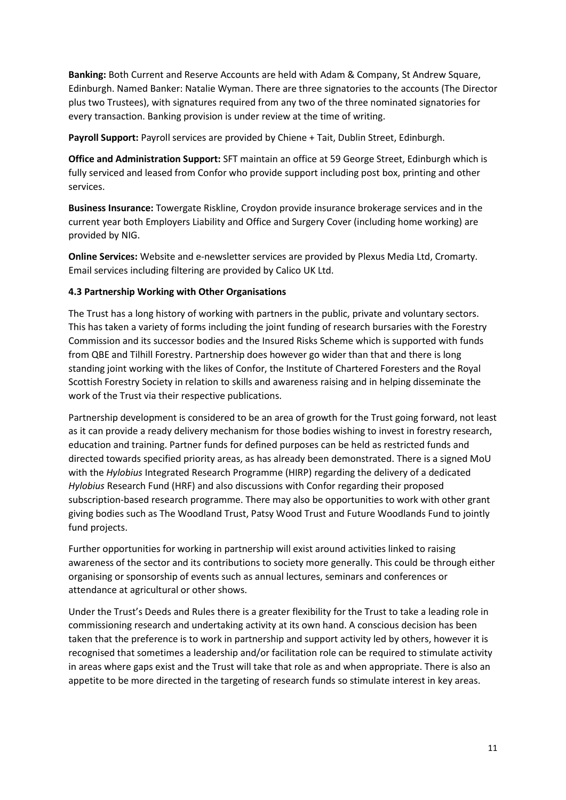**Banking:** Both Current and Reserve Accounts are held with Adam & Company, St Andrew Square, Edinburgh. Named Banker: Natalie Wyman. There are three signatories to the accounts (The Director plus two Trustees), with signatures required from any two of the three nominated signatories for every transaction. Banking provision is under review at the time of writing.

**Payroll Support:** Payroll services are provided by Chiene + Tait, Dublin Street, Edinburgh.

**Office and Administration Support:** SFT maintain an office at 59 George Street, Edinburgh which is fully serviced and leased from Confor who provide support including post box, printing and other services.

**Business Insurance:** Towergate Riskline, Croydon provide insurance brokerage services and in the current year both Employers Liability and Office and Surgery Cover (including home working) are provided by NIG.

**Online Services:** Website and e-newsletter services are provided by Plexus Media Ltd, Cromarty. Email services including filtering are provided by Calico UK Ltd.

#### **4.3 Partnership Working with Other Organisations**

The Trust has a long history of working with partners in the public, private and voluntary sectors. This has taken a variety of forms including the joint funding of research bursaries with the Forestry Commission and its successor bodies and the Insured Risks Scheme which is supported with funds from QBE and Tilhill Forestry. Partnership does however go wider than that and there is long standing joint working with the likes of Confor, the Institute of Chartered Foresters and the Royal Scottish Forestry Society in relation to skills and awareness raising and in helping disseminate the work of the Trust via their respective publications.

Partnership development is considered to be an area of growth for the Trust going forward, not least as it can provide a ready delivery mechanism for those bodies wishing to invest in forestry research, education and training. Partner funds for defined purposes can be held as restricted funds and directed towards specified priority areas, as has already been demonstrated. There is a signed MoU with the *Hylobius* Integrated Research Programme (HIRP) regarding the delivery of a dedicated *Hylobius* Research Fund (HRF) and also discussions with Confor regarding their proposed subscription-based research programme. There may also be opportunities to work with other grant giving bodies such as The Woodland Trust, Patsy Wood Trust and Future Woodlands Fund to jointly fund projects.

Further opportunities for working in partnership will exist around activities linked to raising awareness of the sector and its contributions to society more generally. This could be through either organising or sponsorship of events such as annual lectures, seminars and conferences or attendance at agricultural or other shows.

Under the Trust's Deeds and Rules there is a greater flexibility for the Trust to take a leading role in commissioning research and undertaking activity at its own hand. A conscious decision has been taken that the preference is to work in partnership and support activity led by others, however it is recognised that sometimes a leadership and/or facilitation role can be required to stimulate activity in areas where gaps exist and the Trust will take that role as and when appropriate. There is also an appetite to be more directed in the targeting of research funds so stimulate interest in key areas.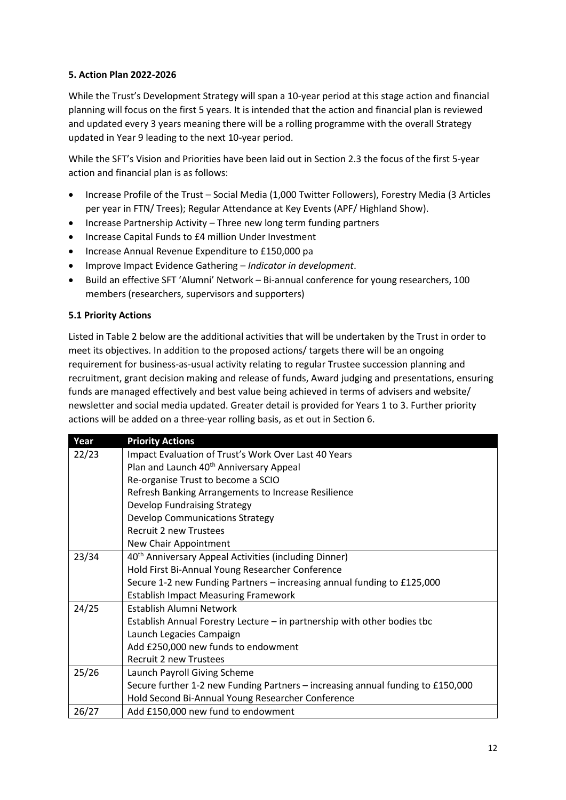#### **5. Action Plan 2022-2026**

While the Trust's Development Strategy will span a 10-year period at this stage action and financial planning will focus on the first 5 years. It is intended that the action and financial plan is reviewed and updated every 3 years meaning there will be a rolling programme with the overall Strategy updated in Year 9 leading to the next 10-year period.

While the SFT's Vision and Priorities have been laid out in Section 2.3 the focus of the first 5-year action and financial plan is as follows:

- Increase Profile of the Trust Social Media (1,000 Twitter Followers), Forestry Media (3 Articles per year in FTN/ Trees); Regular Attendance at Key Events (APF/ Highland Show).
- Increase Partnership Activity Three new long term funding partners
- Increase Capital Funds to £4 million Under Investment
- Increase Annual Revenue Expenditure to £150,000 pa
- Improve Impact Evidence Gathering *Indicator in development*.
- Build an effective SFT 'Alumni' Network Bi-annual conference for young researchers, 100 members (researchers, supervisors and supporters)

#### **5.1 Priority Actions**

Listed in Table 2 below are the additional activities that will be undertaken by the Trust in order to meet its objectives. In addition to the proposed actions/ targets there will be an ongoing requirement for business-as-usual activity relating to regular Trustee succession planning and recruitment, grant decision making and release of funds, Award judging and presentations, ensuring funds are managed effectively and best value being achieved in terms of advisers and website/ newsletter and social media updated. Greater detail is provided for Years 1 to 3. Further priority actions will be added on a three-year rolling basis, as et out in Section 6.

| Year  | <b>Priority Actions</b>                                                         |
|-------|---------------------------------------------------------------------------------|
| 22/23 | Impact Evaluation of Trust's Work Over Last 40 Years                            |
|       | Plan and Launch 40 <sup>th</sup> Anniversary Appeal                             |
|       | Re-organise Trust to become a SCIO                                              |
|       | Refresh Banking Arrangements to Increase Resilience                             |
|       | <b>Develop Fundraising Strategy</b>                                             |
|       | <b>Develop Communications Strategy</b>                                          |
|       | <b>Recruit 2 new Trustees</b>                                                   |
|       | New Chair Appointment                                                           |
| 23/34 | 40 <sup>th</sup> Anniversary Appeal Activities (including Dinner)               |
|       | Hold First Bi-Annual Young Researcher Conference                                |
|       | Secure 1-2 new Funding Partners - increasing annual funding to £125,000         |
|       | <b>Establish Impact Measuring Framework</b>                                     |
| 24/25 | Establish Alumni Network                                                        |
|       | Establish Annual Forestry Lecture – in partnership with other bodies tbc        |
|       | Launch Legacies Campaign                                                        |
|       | Add £250,000 new funds to endowment                                             |
|       | <b>Recruit 2 new Trustees</b>                                                   |
| 25/26 | Launch Payroll Giving Scheme                                                    |
|       | Secure further 1-2 new Funding Partners - increasing annual funding to £150,000 |
|       | Hold Second Bi-Annual Young Researcher Conference                               |
| 26/27 | Add £150,000 new fund to endowment                                              |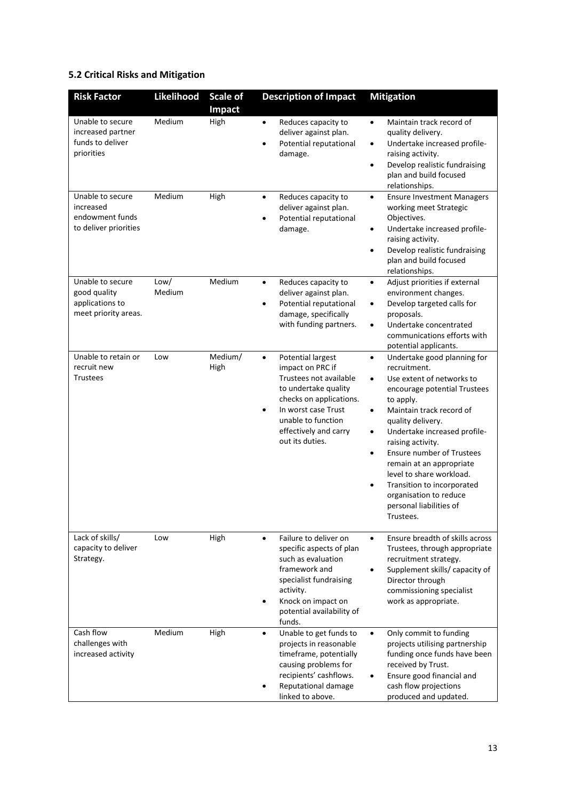# **5.2 Critical Risks and Mitigation**

| <b>Risk Factor</b>                                                          | Likelihood     | <b>Scale of</b><br><b>Impact</b> | <b>Description of Impact</b>                                                                                                                                                                                                         | <b>Mitigation</b>                                                                                                                                                                                                                                                                                                                                                                                                                                                                              |
|-----------------------------------------------------------------------------|----------------|----------------------------------|--------------------------------------------------------------------------------------------------------------------------------------------------------------------------------------------------------------------------------------|------------------------------------------------------------------------------------------------------------------------------------------------------------------------------------------------------------------------------------------------------------------------------------------------------------------------------------------------------------------------------------------------------------------------------------------------------------------------------------------------|
| Unable to secure<br>increased partner<br>funds to deliver<br>priorities     | Medium         | High                             | Reduces capacity to<br>$\bullet$<br>deliver against plan.<br>Potential reputational<br>damage.                                                                                                                                       | Maintain track record of<br>$\bullet$<br>quality delivery.<br>Undertake increased profile-<br>$\bullet$<br>raising activity.<br>Develop realistic fundraising<br>$\bullet$<br>plan and build focused<br>relationships.                                                                                                                                                                                                                                                                         |
| Unable to secure<br>increased<br>endowment funds<br>to deliver priorities   | Medium         | High                             | Reduces capacity to<br>$\bullet$<br>deliver against plan.<br>Potential reputational<br>damage.                                                                                                                                       | <b>Ensure Investment Managers</b><br>$\bullet$<br>working meet Strategic<br>Objectives.<br>Undertake increased profile-<br>$\bullet$<br>raising activity.<br>Develop realistic fundraising<br>$\bullet$<br>plan and build focused<br>relationships.                                                                                                                                                                                                                                            |
| Unable to secure<br>good quality<br>applications to<br>meet priority areas. | Low/<br>Medium | Medium                           | Reduces capacity to<br>$\bullet$<br>deliver against plan.<br>Potential reputational<br>damage, specifically<br>with funding partners.                                                                                                | Adjust priorities if external<br>$\bullet$<br>environment changes.<br>Develop targeted calls for<br>$\bullet$<br>proposals.<br>Undertake concentrated<br>$\bullet$<br>communications efforts with<br>potential applicants.                                                                                                                                                                                                                                                                     |
| Unable to retain or<br>recruit new<br><b>Trustees</b>                       | Low            | Medium/<br>High                  | <b>Potential largest</b><br>$\bullet$<br>impact on PRC if<br>Trustees not available<br>to undertake quality<br>checks on applications.<br>In worst case Trust<br>٠<br>unable to function<br>effectively and carry<br>out its duties. | Undertake good planning for<br>$\bullet$<br>recruitment.<br>Use extent of networks to<br>$\bullet$<br>encourage potential Trustees<br>to apply.<br>Maintain track record of<br>$\bullet$<br>quality delivery.<br>Undertake increased profile-<br>$\bullet$<br>raising activity.<br>Ensure number of Trustees<br>$\bullet$<br>remain at an appropriate<br>level to share workload.<br>Transition to incorporated<br>$\bullet$<br>organisation to reduce<br>personal liabilities of<br>Trustees. |
| Lack of skills/<br>capacity to deliver<br>Strategy.                         | Low            | High                             | Failure to deliver on<br>$\bullet$<br>specific aspects of plan<br>such as evaluation<br>framework and<br>specialist fundraising<br>activity.<br>Knock on impact on<br>potential availability of<br>funds.                            | Ensure breadth of skills across<br>$\bullet$<br>Trustees, through appropriate<br>recruitment strategy.<br>Supplement skills/ capacity of<br>$\bullet$<br>Director through<br>commissioning specialist<br>work as appropriate.                                                                                                                                                                                                                                                                  |
| Cash flow<br>challenges with<br>increased activity                          | Medium         | High                             | Unable to get funds to<br>$\bullet$<br>projects in reasonable<br>timeframe, potentially<br>causing problems for<br>recipients' cashflows.<br>Reputational damage<br>linked to above.                                                 | Only commit to funding<br>$\bullet$<br>projects utilising partnership<br>funding once funds have been<br>received by Trust.<br>Ensure good financial and<br>$\bullet$<br>cash flow projections<br>produced and updated.                                                                                                                                                                                                                                                                        |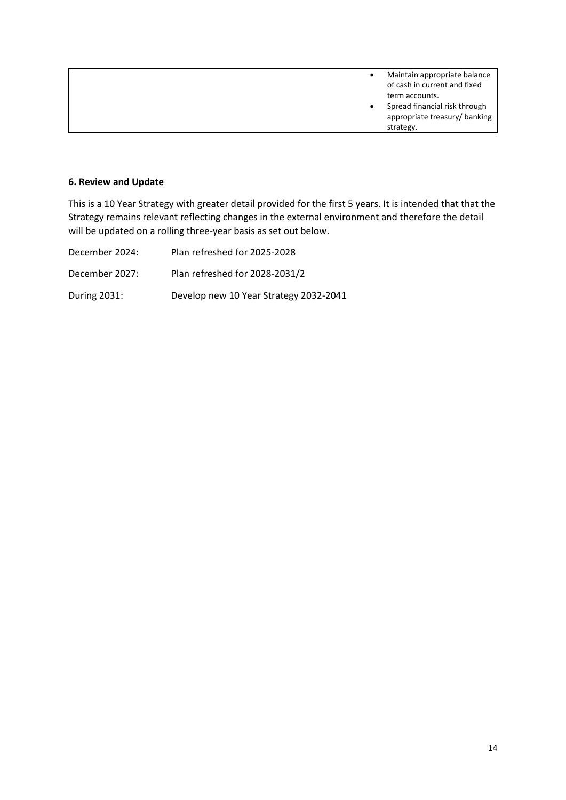|  | Maintain appropriate balance<br>of cash in current and fixed |
|--|--------------------------------------------------------------|
|  | term accounts.                                               |
|  | Spread financial risk through                                |
|  | appropriate treasury/ banking                                |
|  | strategy.                                                    |

#### **6. Review and Update**

This is a 10 Year Strategy with greater detail provided for the first 5 years. It is intended that that the Strategy remains relevant reflecting changes in the external environment and therefore the detail will be updated on a rolling three-year basis as set out below.

| December 2024: | Plan refreshed for 2025-2028           |
|----------------|----------------------------------------|
| December 2027: | Plan refreshed for 2028-2031/2         |
| During 2031:   | Develop new 10 Year Strategy 2032-2041 |